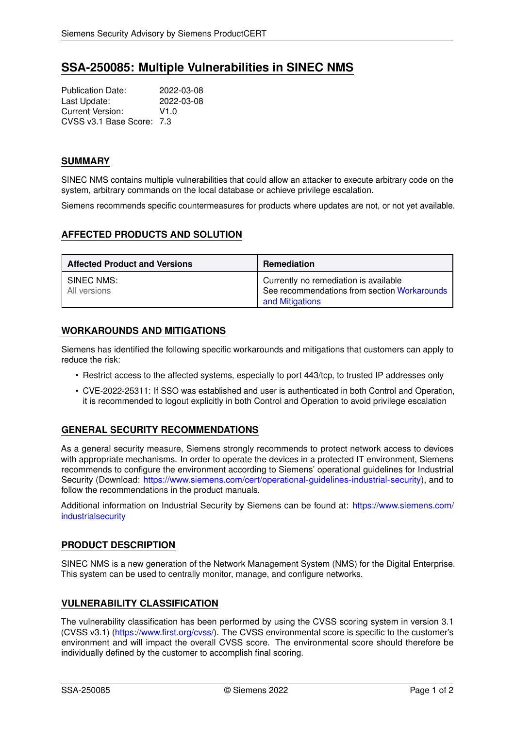# **SSA-250085: Multiple Vulnerabilities in SINEC NMS**

Publication Date: 2022-03-08<br>
Last Update: 2022-03-08 Last Update: Current Version: V1.0 CVSS v3.1 Base Score: 7.3

## **SUMMARY**

SINEC NMS contains multiple vulnerabilities that could allow an attacker to execute arbitrary code on the system, arbitrary commands on the local database or achieve privilege escalation.

Siemens recommends specific countermeasures for products where updates are not, or not yet available.

# **AFFECTED PRODUCTS AND SOLUTION**

| <b>Affected Product and Versions</b> | Remediation                                                                                              |
|--------------------------------------|----------------------------------------------------------------------------------------------------------|
| SINEC NMS:<br>All versions           | Currently no remediation is available<br>See recommendations from section Workarounds<br>and Mitigations |

## <span id="page-0-0"></span>**WORKAROUNDS AND MITIGATIONS**

Siemens has identified the following specific workarounds and mitigations that customers can apply to reduce the risk:

- Restrict access to the affected systems, especially to port 443/tcp, to trusted IP addresses only
- CVE-2022-25311: If SSO was established and user is authenticated in both Control and Operation, it is recommended to logout explicitly in both Control and Operation to avoid privilege escalation

# **GENERAL SECURITY RECOMMENDATIONS**

As a general security measure, Siemens strongly recommends to protect network access to devices with appropriate mechanisms. In order to operate the devices in a protected IT environment, Siemens recommends to configure the environment according to Siemens' operational guidelines for Industrial Security (Download: [https://www.siemens.com/cert/operational-guidelines-industrial-security\)](https://www.siemens.com/cert/operational-guidelines-industrial-security), and to follow the recommendations in the product manuals.

Additional information on Industrial Security by Siemens can be found at: [https://www.siemens.com/](https://www.siemens.com/industrialsecurity) [industrialsecurity](https://www.siemens.com/industrialsecurity)

# **PRODUCT DESCRIPTION**

SINEC NMS is a new generation of the Network Management System (NMS) for the Digital Enterprise. This system can be used to centrally monitor, manage, and configure networks.

# **VULNERABILITY CLASSIFICATION**

The vulnerability classification has been performed by using the CVSS scoring system in version 3.1 (CVSS v3.1) [\(https://www.first.org/cvss/\)](https://www.first.org/cvss/). The CVSS environmental score is specific to the customer's environment and will impact the overall CVSS score. The environmental score should therefore be individually defined by the customer to accomplish final scoring.